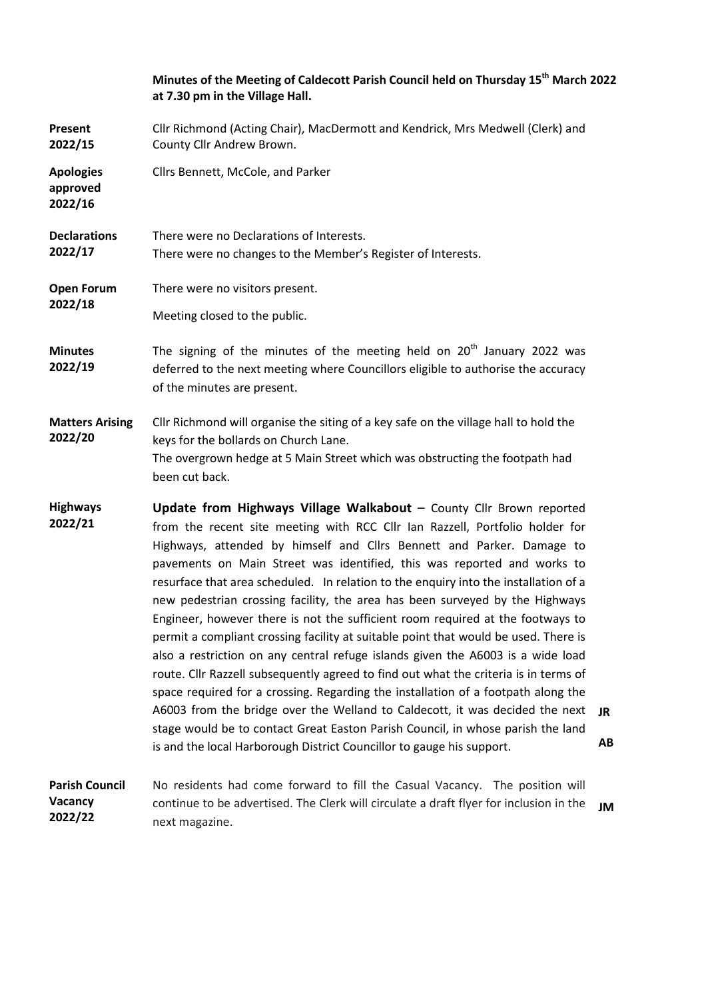|                                         | Minutes of the Meeting of Caldecott Parish Council held on Thursday 15 <sup>th</sup> March 2022<br>at 7.30 pm in the Village Hall.                                                                                                                                                                                                                                                                                                                                                                                                                                                                                                                                                                                                                                                                                                                                                                                                                                                                                                                                                                                                                                   |          |  |
|-----------------------------------------|----------------------------------------------------------------------------------------------------------------------------------------------------------------------------------------------------------------------------------------------------------------------------------------------------------------------------------------------------------------------------------------------------------------------------------------------------------------------------------------------------------------------------------------------------------------------------------------------------------------------------------------------------------------------------------------------------------------------------------------------------------------------------------------------------------------------------------------------------------------------------------------------------------------------------------------------------------------------------------------------------------------------------------------------------------------------------------------------------------------------------------------------------------------------|----------|--|
| Present<br>2022/15                      | Cllr Richmond (Acting Chair), MacDermott and Kendrick, Mrs Medwell (Clerk) and<br>County Cllr Andrew Brown.                                                                                                                                                                                                                                                                                                                                                                                                                                                                                                                                                                                                                                                                                                                                                                                                                                                                                                                                                                                                                                                          |          |  |
| <b>Apologies</b><br>approved<br>2022/16 | Cllrs Bennett, McCole, and Parker                                                                                                                                                                                                                                                                                                                                                                                                                                                                                                                                                                                                                                                                                                                                                                                                                                                                                                                                                                                                                                                                                                                                    |          |  |
| <b>Declarations</b><br>2022/17          | There were no Declarations of Interests.<br>There were no changes to the Member's Register of Interests.                                                                                                                                                                                                                                                                                                                                                                                                                                                                                                                                                                                                                                                                                                                                                                                                                                                                                                                                                                                                                                                             |          |  |
| <b>Open Forum</b><br>2022/18            | There were no visitors present.                                                                                                                                                                                                                                                                                                                                                                                                                                                                                                                                                                                                                                                                                                                                                                                                                                                                                                                                                                                                                                                                                                                                      |          |  |
|                                         | Meeting closed to the public.                                                                                                                                                                                                                                                                                                                                                                                                                                                                                                                                                                                                                                                                                                                                                                                                                                                                                                                                                                                                                                                                                                                                        |          |  |
| <b>Minutes</b><br>2022/19               | The signing of the minutes of the meeting held on $20th$ January 2022 was<br>deferred to the next meeting where Councillors eligible to authorise the accuracy<br>of the minutes are present.                                                                                                                                                                                                                                                                                                                                                                                                                                                                                                                                                                                                                                                                                                                                                                                                                                                                                                                                                                        |          |  |
| <b>Matters Arising</b><br>2022/20       | Cllr Richmond will organise the siting of a key safe on the village hall to hold the<br>keys for the bollards on Church Lane.<br>The overgrown hedge at 5 Main Street which was obstructing the footpath had<br>been cut back.                                                                                                                                                                                                                                                                                                                                                                                                                                                                                                                                                                                                                                                                                                                                                                                                                                                                                                                                       |          |  |
| <b>Highways</b><br>2022/21              | Update from Highways Village Walkabout - County Cllr Brown reported<br>from the recent site meeting with RCC Cllr Ian Razzell, Portfolio holder for<br>Highways, attended by himself and Cllrs Bennett and Parker. Damage to<br>pavements on Main Street was identified, this was reported and works to<br>resurface that area scheduled. In relation to the enquiry into the installation of a<br>new pedestrian crossing facility, the area has been surveyed by the Highways<br>Engineer, however there is not the sufficient room required at the footways to<br>permit a compliant crossing facility at suitable point that would be used. There is<br>also a restriction on any central refuge islands given the A6003 is a wide load<br>route. Cllr Razzell subsequently agreed to find out what the criteria is in terms of<br>space required for a crossing. Regarding the installation of a footpath along the<br>A6003 from the bridge over the Welland to Caldecott, it was decided the next<br>stage would be to contact Great Easton Parish Council, in whose parish the land<br>is and the local Harborough District Councillor to gauge his support. | JR<br>AB |  |
| <b>Parish Council</b><br>Vacancy        | No residents had come forward to fill the Casual Vacancy. The position will<br>continue to be advertised. The Clerk will circulate a draft flyer for inclusion in the                                                                                                                                                                                                                                                                                                                                                                                                                                                                                                                                                                                                                                                                                                                                                                                                                                                                                                                                                                                                | JM       |  |

**2022/22** 

next magazine.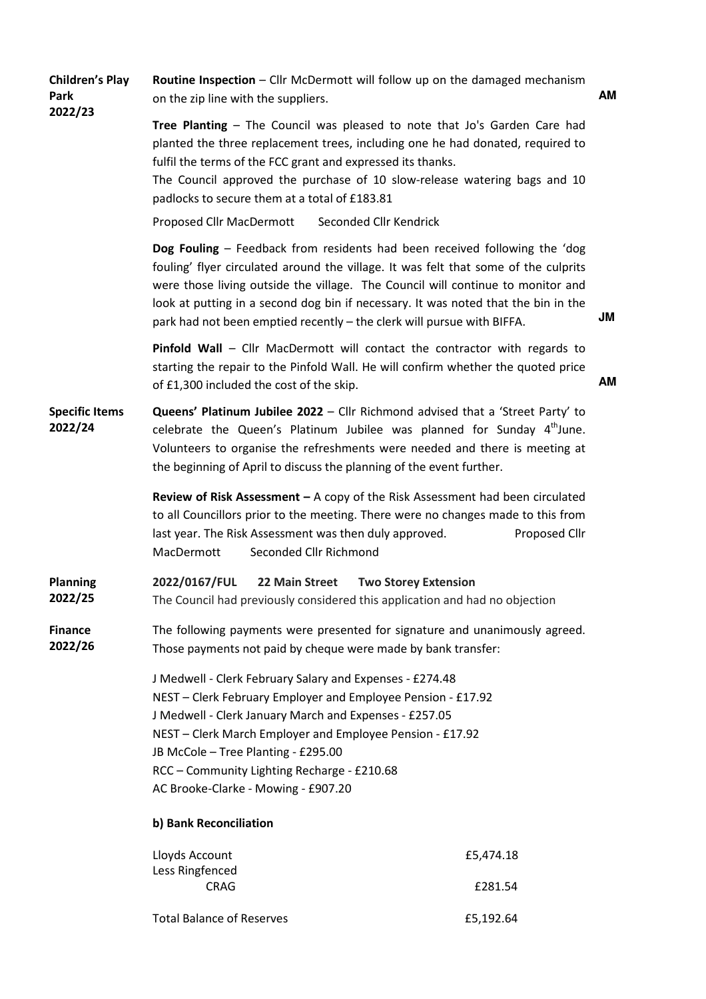| <b>Children's Play</b><br>Park<br>2022/23 | Routine Inspection - Cllr McDermott will follow up on the damaged mechanism<br>on the zip line with the suppliers.                                                                                                                                                                                                                                                           |                                                                                                                                                                                                                                                                                                                                            | AM |
|-------------------------------------------|------------------------------------------------------------------------------------------------------------------------------------------------------------------------------------------------------------------------------------------------------------------------------------------------------------------------------------------------------------------------------|--------------------------------------------------------------------------------------------------------------------------------------------------------------------------------------------------------------------------------------------------------------------------------------------------------------------------------------------|----|
|                                           | fulfil the terms of the FCC grant and expressed its thanks.<br>padlocks to secure them at a total of £183.81                                                                                                                                                                                                                                                                 | Tree Planting - The Council was pleased to note that Jo's Garden Care had<br>planted the three replacement trees, including one he had donated, required to<br>The Council approved the purchase of 10 slow-release watering bags and 10                                                                                                   |    |
|                                           | Proposed Cllr MacDermott                                                                                                                                                                                                                                                                                                                                                     | Seconded Cllr Kendrick                                                                                                                                                                                                                                                                                                                     |    |
|                                           | park had not been emptied recently - the clerk will pursue with BIFFA.                                                                                                                                                                                                                                                                                                       | Dog Fouling - Feedback from residents had been received following the 'dog<br>fouling' flyer circulated around the village. It was felt that some of the culprits<br>were those living outside the village. The Council will continue to monitor and<br>look at putting in a second dog bin if necessary. It was noted that the bin in the | JM |
|                                           | of £1,300 included the cost of the skip.                                                                                                                                                                                                                                                                                                                                     | Pinfold Wall - Cllr MacDermott will contact the contractor with regards to<br>starting the repair to the Pinfold Wall. He will confirm whether the quoted price                                                                                                                                                                            | ΑM |
| <b>Specific Items</b><br>2022/24          | the beginning of April to discuss the planning of the event further.                                                                                                                                                                                                                                                                                                         | Queens' Platinum Jubilee 2022 - Cllr Richmond advised that a 'Street Party' to<br>celebrate the Queen's Platinum Jubilee was planned for Sunday 4 <sup>th</sup> June.<br>Volunteers to organise the refreshments were needed and there is meeting at                                                                                       |    |
|                                           | last year. The Risk Assessment was then duly approved.<br>Seconded Cllr Richmond<br>MacDermott                                                                                                                                                                                                                                                                               | <b>Review of Risk Assessment</b> $-$ A copy of the Risk Assessment had been circulated<br>to all Councillors prior to the meeting. There were no changes made to this from<br>Proposed Cllr                                                                                                                                                |    |
| <b>Planning</b><br>2022/25                | 2022/0167/FUL<br>22 Main Street<br><b>Two Storey Extension</b><br>The Council had previously considered this application and had no objection                                                                                                                                                                                                                                |                                                                                                                                                                                                                                                                                                                                            |    |
| <b>Finance</b><br>2022/26                 | The following payments were presented for signature and unanimously agreed.<br>Those payments not paid by cheque were made by bank transfer:                                                                                                                                                                                                                                 |                                                                                                                                                                                                                                                                                                                                            |    |
|                                           | J Medwell - Clerk February Salary and Expenses - £274.48<br>NEST - Clerk February Employer and Employee Pension - £17.92<br>J Medwell - Clerk January March and Expenses - £257.05<br>NEST - Clerk March Employer and Employee Pension - £17.92<br>JB McCole - Tree Planting - £295.00<br>RCC - Community Lighting Recharge - £210.68<br>AC Brooke-Clarke - Mowing - £907.20 |                                                                                                                                                                                                                                                                                                                                            |    |
|                                           | b) Bank Reconciliation                                                                                                                                                                                                                                                                                                                                                       |                                                                                                                                                                                                                                                                                                                                            |    |
|                                           | Lloyds Account<br>Less Ringfenced<br><b>CRAG</b>                                                                                                                                                                                                                                                                                                                             | £5,474.18<br>£281.54                                                                                                                                                                                                                                                                                                                       |    |
|                                           | <b>Total Balance of Reserves</b>                                                                                                                                                                                                                                                                                                                                             | £5,192.64                                                                                                                                                                                                                                                                                                                                  |    |